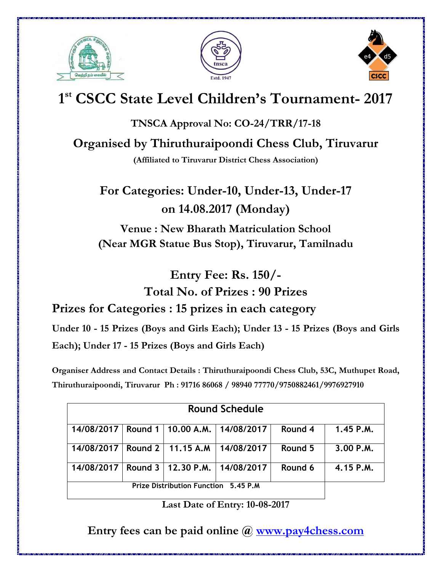





# **1 st CSCC State Level Children's Tournament- 2017**

**TNSCA Approval No: CO-24/TRR/17-18**

**Organised by Thiruthuraipoondi Chess Club, Tiruvarur** 

**(Affiliated to Tiruvarur District Chess Association)** 

**For Categories: Under-10, Under-13, Under-17 on 14.08.2017 (Monday) Venue : New Bharath Matriculation School** 

**(Near MGR Statue Bus Stop), Tiruvarur, Tamilnadu** 

**Entry Fee: Rs. 150/- Total No. of Prizes : 90 Prizes** 

**Prizes for Categories : 15 prizes in each category** 

**Under 10 - 15 Prizes (Boys and Girls Each); Under 13 - 15 Prizes (Boys and Girls Each) ; Under 17 - 15 Prizes (Boys and Girls Each)** 

**Organiser Address and Contact Details : Thiruthuraipoondi Chess Club, 53C, Muthupet Road, Thiruthuraipoondi, Tiruvarur Ph : 91716 86068 / 98940 77770/9750882461/9976927910** 

| <b>Round Schedule</b>                |  |  |                                                |         |             |
|--------------------------------------|--|--|------------------------------------------------|---------|-------------|
|                                      |  |  | 14/08/2017   Round 1   10.00 A.M.   14/08/2017 | Round 4 | $1.45$ P.M. |
| 14/08/2017   Round 2   11.15 A.M     |  |  | 14/08/2017                                     | Round 5 | 3.00 P.M.   |
| 14/08/2017                           |  |  | Round 3   12,30 P.M.   14/08/2017              | Round 6 | 4.15 P.M.   |
| Prize Distribution Function 5.45 P.M |  |  |                                                |         |             |

**Last Date of Entry: 10-08-2017** 

**Entry fees can be paid online @ [www.pay4chess.com](http://www.pay4chess.com/)**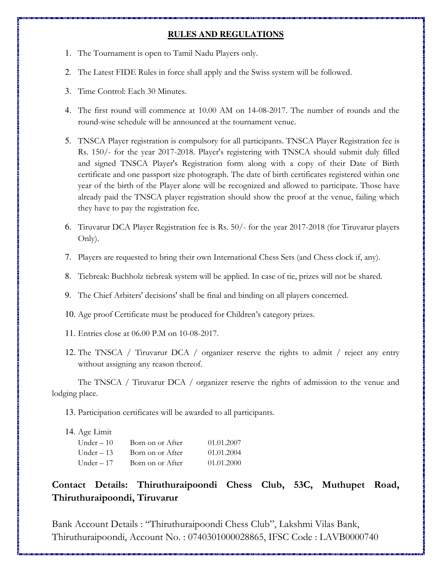#### **RULES AND REGULATIONS**

- 1. The Tournament is open to Tamil Nadu Players only.
- 2. The Latest FIDE Rules in force shall apply and the Swiss system will be followed.
- 3. Time Control: Each 30 Minutes.
- 4. The first round will commence at 10.00 AM on 14-08-2017. The number of rounds and the round-wise schedule will be announced at the tournament venue.
- 5. TNSCA Player registration is compulsory for all participants. TNSCA Player Registration fee is Rs. 150/- for the year 2017-2018. Player's registering with TNSCA should submit duly filled and signed TNSCA Player's Registration form along with a copy of their Date of Birth certificate and one passport size photograph. The date of birth certificates registered within one year of the birth of the Player alone will be recognized and allowed to participate. Those have already paid the TNSCA player registration should show the proof at the venue, failing which they have to pay the registration fee.
- 6. Tiruvarur DCA Player Registration fee is Rs. 50/- for the year 2017-2018 (for Tiruvarur players Only).
- 7. Players are requested to bring their own International Chess Sets (and Chess clock if, any).
- 8. Tiebreak: Buchholz tiebreak system will be applied. In case of tie, prizes will not be shared.
- 9. The Chief Arbiters' decisions' shall be final and binding on all players concerned.
- 10. Age proof Certificate must be produced for Children's category prizes.
- 11. Entries close at 06.00 P.M on 10-08-2017.
- 12. The TNSCA / Tiruvarur DCA / organizer reserve the rights to admit / reject any entry without assigning any reason thereof.

 The TNSCA / Tiruvarur DCA / organizer reserve the rights of admission to the venue and lodging place.

13. Participation certificates will be awarded to all participants.

14. Age Limit

| Under $-10$ | Born on or After | 01.01.2007 |
|-------------|------------------|------------|
| Under $-13$ | Born on or After | 01.01.2004 |
| Under $-17$ | Born on or After | 01.01.2000 |

### **Contact Details: Thiruthuraipoondi Chess Club, 53C, Muthupet Road, Thiruthuraipoondi, Tiruvarur**

Bank Account Details : "Thiruthuraipoondi Chess Club", Lakshmi Vilas Bank, Thiruthuraipoondi, Account No. : 0740301000028865, IFSC Code : LAVB0000740